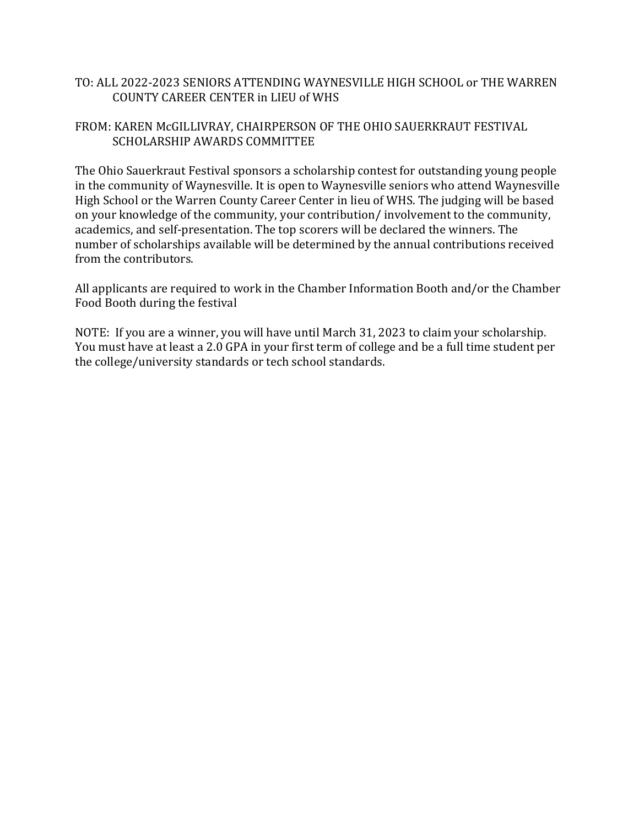### TO: ALL 2022-2023 SENIORS ATTENDING WAYNESVILLE HIGH SCHOOL or THE WARREN COUNTY CAREER CENTER in LIEU of WHS

# FROM: KAREN McGILLIVRAY, CHAIRPERSON OF THE OHIO SAUERKRAUT FESTIVAL SCHOLARSHIP AWARDS COMMITTEE

The Ohio Sauerkraut Festival sponsors a scholarship contest for outstanding young people in the community of Waynesville. It is open to Waynesville seniors who attend Waynesville High School or the Warren County Career Center in lieu of WHS. The judging will be based on your knowledge of the community, your contribution/ involvement to the community, academics, and self-presentation. The top scorers will be declared the winners. The number of scholarships available will be determined by the annual contributions received from the contributors.

All applicants are required to work in the Chamber Information Booth and/or the Chamber Food Booth during the festival

NOTE: If you are a winner, you will have until March 31, 2023 to claim your scholarship. You must have at least a 2.0 GPA in your first term of college and be a full time student per the college/university standards or tech school standards.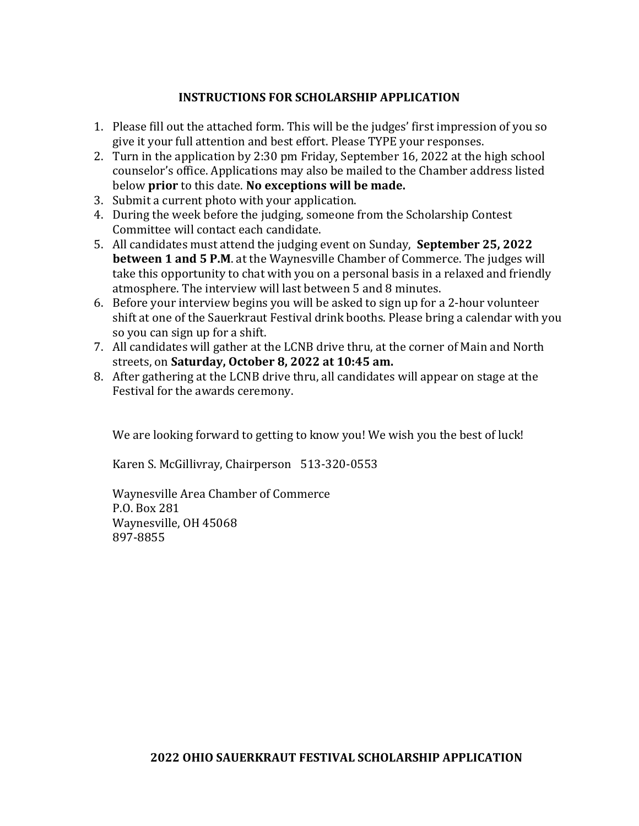# **INSTRUCTIONS FOR SCHOLARSHIP APPLICATION**

- 1. Please fill out the attached form. This will be the judges' first impression of you so give it your full attention and best effort. Please TYPE your responses.
- 2. Turn in the application by 2:30 pm Friday, September 16, 2022 at the high school counselor's office. Applications may also be mailed to the Chamber address listed below **prior** to this date. **No exceptions will be made.**
- 3. Submit a current photo with your application.
- 4. During the week before the judging, someone from the Scholarship Contest Committee will contact each candidate.
- 5. All candidates must attend the judging event on Sunday, **September 25, 2022 between 1 and 5 P.M**. at the Waynesville Chamber of Commerce. The judges will take this opportunity to chat with you on a personal basis in a relaxed and friendly atmosphere. The interview will last between 5 and 8 minutes.
- 6. Before your interview begins you will be asked to sign up for a 2-hour volunteer shift at one of the Sauerkraut Festival drink booths. Please bring a calendar with you so you can sign up for a shift.
- 7. All candidates will gather at the LCNB drive thru, at the corner of Main and North streets, on **Saturday, October 8, 2022 at 10:45 am.**
- 8. After gathering at the LCNB drive thru, all candidates will appear on stage at the Festival for the awards ceremony.

We are looking forward to getting to know you! We wish you the best of luck!

Karen S. McGillivray, Chairperson 513-320-0553

Waynesville Area Chamber of Commerce P.O. Box 281 Waynesville, OH 45068 897-8855